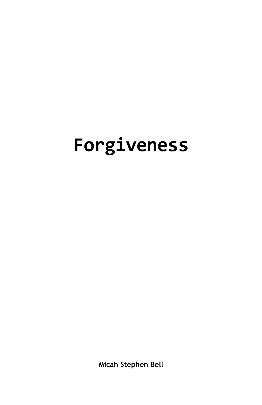# **Forgiveness**

**Micah Stephen Bell**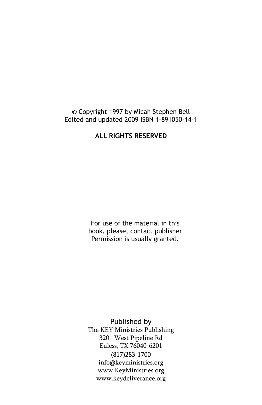#### © Copyright 1997 by Micah Stephen Bell Edited and updated 2009 ISBN 1-891050-14-1

#### **ALL RIGHTS RESERVED**

For use of the material in this book, please, contact publisher Permission is usually granted.

Published by The KEY Ministries Publishing 3201 West Pipeline Rd Euless, TX 76040-6201 (817)283-1700 [info@keyministries.org](mailto:info@keyministries.org)  [www.KeyMinistries.org](http://www.KeyMinistries.org) [www.keydeliverance.org](http://www.StreamsOfTruth.org)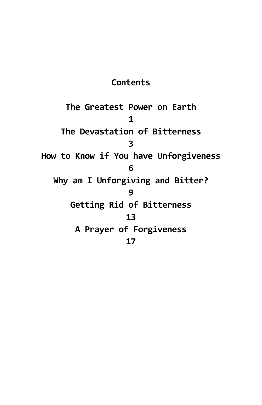## **Contents**

**The Greatest Power on Earth 1 The Devastation of Bitterness 3 How to Know if You have Unforgiveness 6 Why am I Unforgiving and Bitter? 9 Getting Rid of Bitterness 13 A Prayer of Forgiveness 17**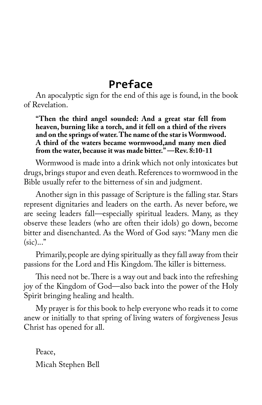## **Preface**

An apocalyptic sign for the end of this age is found, in the book of Revelation.

**"Then the third angel sounded: And a great star fell from heaven, burning like a torch, and it fell on a third of the rivers and on the springs of water. The name of the star is Wormwood. A third of the waters became wormwood,and many men died from the water, because it was made bitter." —Rev. 8:10-11**

Wormwood is made into a drink which not only intoxicates but drugs, brings stupor and even death. References to wormwood in the Bible usually refer to the bitterness of sin and judgment.

Another sign in this passage of Scripture is the falling star. Stars represent dignitaries and leaders on the earth. As never before, we are seeing leaders fall—especially spiritual leaders. Many, as they observe these leaders (who are often their idols) go down, become bitter and disenchanted. As the Word of God says: "Many men die  $(sic)...$ "

Primarily, people are dying spiritually as they fall away from their passions for the Lord and His Kingdom. The killer is bitterness.

This need not be. There is a way out and back into the refreshing joy of the Kingdom of God—also back into the power of the Holy Spirit bringing healing and health.

My prayer is for this book to help everyone who reads it to come anew or initially to that spring of living waters of forgiveness Jesus Christ has opened for all.

Peace, Micah Stephen Bell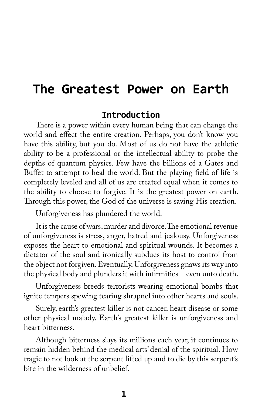## **The Greatest Power on Earth**

### **Introduction**

There is a power within every human being that can change the world and effect the entire creation. Perhaps, you don't know you have this ability, but you do. Most of us do not have the athletic ability to be a professional or the intellectual ability to probe the depths of quantum physics. Few have the billions of a Gates and Buffet to attempt to heal the world. But the playing field of life is completely leveled and all of us are created equal when it comes to the ability to choose to forgive. It is the greatest power on earth. Through this power, the God of the universe is saving His creation.

Unforgiveness has plundered the world.

It is the cause of wars, murder and divorce. The emotional revenue of unforgiveness is stress, anger, hatred and jealousy. Unforgiveness exposes the heart to emotional and spiritual wounds. It becomes a dictator of the soul and ironically subdues its host to control from the object not forgiven. Eventually, Unforgiveness gnaws its way into the physical body and plunders it with infirmities—even unto death.

Unforgiveness breeds terrorists wearing emotional bombs that ignite tempers spewing tearing shrapnel into other hearts and souls.

Surely, earth's greatest killer is not cancer, heart disease or some other physical malady. Earth's greatest killer is unforgiveness and heart bitterness.

Although bitterness slays its millions each year, it continues to remain hidden behind the medical arts' denial of the spiritual. How tragic to not look at the serpent lifted up and to die by this serpent's bite in the wilderness of unbelief.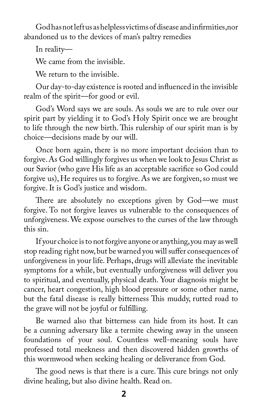God has not left us as helpless victims of disease and infirmities,nor abandoned us to the devices of man's paltry remedies

In reality—

We came from the invisible.

We return to the invisible.

Our day-to-day existence is rooted and influenced in the invisible realm of the spirit—for good or evil.

God's Word says we are souls. As souls we are to rule over our spirit part by yielding it to God's Holy Spirit once we are brought to life through the new birth. This rulership of our spirit man is by choice—decisions made by our will.

Once born again, there is no more important decision than to forgive. As God willingly forgives us when we look to Jesus Christ as our Savior (who gave His life as an acceptable sacrifice so God could forgive us), He requires us to forgive. As we are forgiven, so must we forgive. It is God's justice and wisdom.

There are absolutely no exceptions given by God—we must forgive. To not forgive leaves us vulnerable to the consequences of unforgiveness. We expose ourselves to the curses of the law through this sin.

If your choice is to not forgive anyone or anything, you may as well stop reading right now, but be warned you will suffer consequences of unforgiveness in your life. Perhaps, drugs will alleviate the inevitable symptoms for a while, but eventually unforgiveness will deliver you to spiritual, and eventually, physical death. Your diagnosis might be cancer, heart congestion, high blood pressure or some other name, but the fatal disease is really bitterness This muddy, rutted road to the grave will not be joyful or fulfilling.

Be warned also that bitterness can hide from its host. It can be a cunning adversary like a termite chewing away in the unseen foundations of your soul. Countless well-meaning souls have professed total meekness and then discovered hidden growths of this wormwood when seeking healing or deliverance from God.

The good news is that there is a cure. This cure brings not only divine healing, but also divine health. Read on.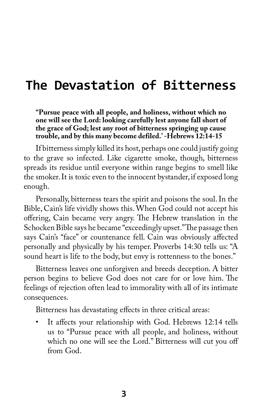## **The Devastation of Bitterness**

**"Pursue peace with all people, and holiness, without which no one will see the Lord: looking carefully lest anyone fall short of the grace of God; lest any root of bitterness springing up cause trouble, and by this many become defiled.' -Hebrews 12:14-15**

If bitterness simply killed its host, perhaps one could justify going to the grave so infected. Like cigarette smoke, though, bitterness spreads its residue until everyone within range begins to smell like the smoker. It is toxic even to the innocent bystander, if exposed long enough.

Personally, bitterness tears the spirit and poisons the soul. In the Bible, Cain's life vividly shows this. When God could not accept his offering, Cain became very angry. The Hebrew translation in the Schocken Bible says he became "exceedingly upset." The passage then says Cain's "face" or countenance fell. Cain was obviously affected personally and physically by his temper. Proverbs 14:30 tells us: "A sound heart is life to the body, but envy is rottenness to the bones."

Bitterness leaves one unforgiven and breeds deception. A bitter person begins to believe God does not care for or love him. The feelings of rejection often lead to immorality with all of its intimate consequences.

Bitterness has devastating effects in three critical areas:

It affects your relationship with God. Hebrews 12:14 tells us to "Pursue peace with all people, and holiness, without which no one will see the Lord." Bitterness will cut you off from God.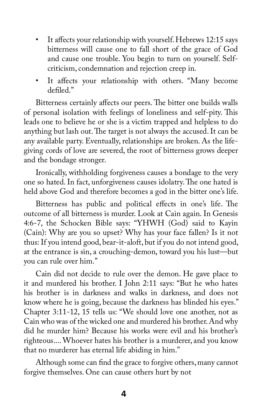- It affects your relationship with yourself. Hebrews 12:15 says bitterness will cause one to fall short of the grace of God and cause one trouble. You begin to turn on yourself. Selfcriticism, condemnation and rejection creep in.
- It affects your relationship with others. "Many become defiled."

Bitterness certainly affects our peers. The bitter one builds walls of personal isolation with feelings of loneliness and self-pity. This leads one to believe he or she is a victim trapped and helpless to do anything but lash out. The target is not always the accused. It can be any available party. Eventually, relationships are broken. As the lifegiving cords of love are severed, the root of bitterness grows deeper and the bondage stronger.

Ironically, withholding forgiveness causes a bondage to the very one so hated. In fact, unforgiveness causes idolatry. The one hated is held above God and therefore becomes a god in the bitter one's life.

Bitterness has public and political effects in one's life. The outcome of all bitterness is murder. Look at Cain again. In Genesis 4:6-7, the Schocken Bible says: "YHWH (God) said to Kayin (Cain): Why are you so upset? Why has your face fallen? Is it not thus: If you intend good, bear-it-aloft, but if you do not intend good, at the entrance is sin, a crouching-demon, toward you his lust—but you can rule over him."

Cain did not decide to rule over the demon. He gave place to it and murdered his brother. I John 2:11 says: "But he who hates his brother is in darkness and walks in darkness, and does not know where he is going, because the darkness has blinded his eyes." Chapter 3:11-12, 15 tells us: "We should love one another, not as Cain who was of the wicked one and murdered his brother. And why did he murder him? Because his works were evil and his brother's righteous.... Whoever hates his brother is a murderer, and you know that no murderer has eternal life abiding in him."

Although some can find the grace to forgive others, many cannot forgive themselves. One can cause others hurt by not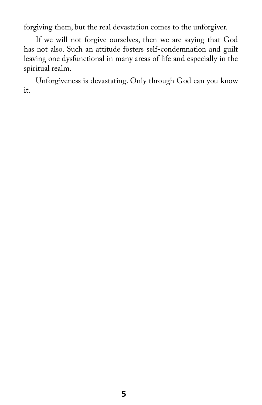forgiving them, but the real devastation comes to the unforgiver.

If we will not forgive ourselves, then we are saying that God has not also. Such an attitude fosters self-condemnation and guilt leaving one dysfunctional in many areas of life and especially in the spiritual realm.

Unforgiveness is devastating. Only through God can you know it.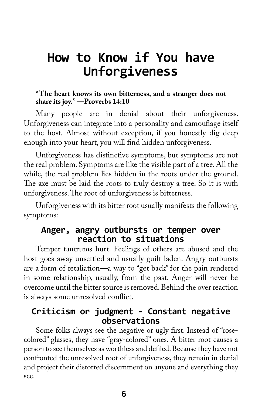## **How to Know if You have Unforgiveness**

#### **"The heart knows its own bitterness, and a stranger does not share its joy." —Proverbs 14:10**

Many people are in denial about their unforgiveness. Unforgiveness can integrate into a personality and camouflage itself to the host. Almost without exception, if you honestly dig deep enough into your heart, you will find hidden unforgiveness.

Unforgiveness has distinctive symptoms, but symptoms are not the real problem. Symptoms are like the visible part of a tree. All the while, the real problem lies hidden in the roots under the ground. The axe must be laid the roots to truly destroy a tree. So it is with unforgiveness. The root of unforgiveness is bitterness.

Unforgiveness with its bitter root usually manifests the following symptoms:

## **Anger, angry outbursts or temper over reaction to situations**

Temper tantrums hurt. Feelings of others are abused and the host goes away unsettled and usually guilt laden. Angry outbursts are a form of retaliation—a way to "get back" for the pain rendered in some relationship, usually, from the past. Anger will never be overcome until the bitter source is removed. Behind the over reaction is always some unresolved conflict.

## **Criticism or judgment - Constant negative observations**

Some folks always see the negative or ugly first. Instead of "rosecolored" glasses, they have "gray-colored" ones. A bitter root causes a person to see themselves as worthless and defiled. Because they have not confronted the unresolved root of unforgiveness, they remain in denial and project their distorted discernment on anyone and everything they see.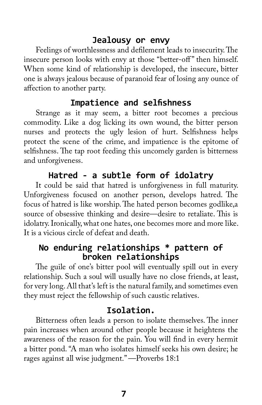## **Jealousy or envy**

Feelings of worthlessness and defilement leads to insecurity. The insecure person looks with envy at those "better-off" then himself. When some kind of relationship is developed, the insecure, bitter one is always jealous because of paranoid fear of losing any ounce of affection to another party.

## **Impatience and selfishness**

Strange as it may seem, a bitter root becomes a precious commodity. Like a dog licking its own wound, the bitter person nurses and protects the ugly lesion of hurt. Selfishness helps protect the scene of the crime, and impatience is the epitome of selfishness. The tap root feeding this uncomely garden is bitterness and unforgiveness.

## **Hatred - a subtle form of idolatry**

It could be said that hatred is unforgiveness in full maturity. Unforgiveness focused on another person, develops hatred. The focus of hatred is like worship. The hated person becomes godlike,a source of obsessive thinking and desire—desire to retaliate. This is idolatry. Ironically, what one hates, one becomes more and more like. It is a vicious circle of defeat and death.

## **No enduring relationships \* pattern of broken relationships**

The guile of one's bitter pool will eventually spill out in every relationship. Such a soul will usually have no close friends, at least, for very long. All that's left is the natural family, and sometimes even they must reject the fellowship of such caustic relatives.

## **Isolation.**

Bitterness often leads a person to isolate themselves. The inner pain increases when around other people because it heightens the awareness of the reason for the pain. You will find in every hermit a bitter pond. "A man who isolates himself seeks his own desire; he rages against all wise judgment." —Proverbs 18:1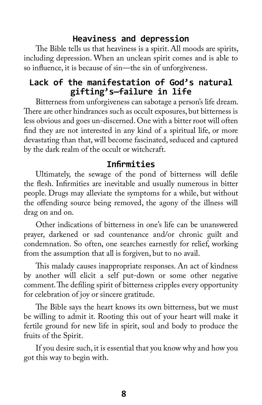### **Heaviness and depression**

The Bible tells us that heaviness is a spirit. All moods are spirits, including depression. When an unclean spirit comes and is able to so influence, it is because of sin—the sin of unforgiveness.

## **Lack of the manifestation of God's natural gifting's—failure in life**

Bitterness from unforgiveness can sabotage a person's life dream. There are other hindrances such as occult exposures, but bitterness is less obvious and goes un-discerned. One with a bitter root will often find they are not interested in any kind of a spiritual life, or more devastating than that, will become fascinated, seduced and captured by the dark realm of the occult or witchcraft.

### **Infirmities**

Ultimately, the sewage of the pond of bitterness will defile the flesh. Infirmities are inevitable and usually numerous in bitter people. Drugs may alleviate the symptoms for a while, but without the offending source being removed, the agony of the illness will drag on and on.

Other indications of bitterness in one's life can be unanswered prayer, darkened or sad countenance and/or chronic guilt and condemnation. So often, one searches earnestly for relief, working from the assumption that all is forgiven, but to no avail.

This malady causes inappropriate responses. An act of kindness by another will elicit a self put-down or some other negative comment. The defiling spirit of bitterness cripples every opportunity for celebration of joy or sincere gratitude.

The Bible says the heart knows its own bitterness, but we must be willing to admit it. Rooting this out of your heart will make it fertile ground for new life in spirit, soul and body to produce the fruits of the Spirit.

If you desire such, it is essential that you know why and how you got this way to begin with.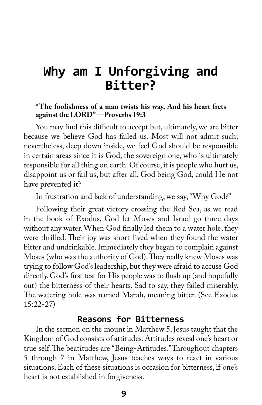## **Why am I Unforgiving and Bitter?**

#### **"The foolishness of a man twists his way, And his heart frets against the LORD" —Proverbs 19:3**

You may find this difficult to accept but, ultimately, we are bitter because we believe God has failed us. Most will not admit such; nevertheless, deep down inside, we feel God should be responsible in certain areas since it is God, the sovereign one, who is ultimately responsible for all thing on earth. Of course, it is people who hurt us, disappoint us or fail us, but after all, God being God, could He not have prevented it?

In frustration and lack of understanding, we say, "Why God?"

Following their great victory crossing the Red Sea, as we read in the book of Exodus, God let Moses and Israel go three days without any water. When God finally led them to a water hole, they were thrilled. Their joy was short-lived when they found the water bitter and undrinkable. Immediately they began to complain against Moses (who was the authority of God). They really knew Moses was trying to follow God's leadership, but they were afraid to accuse God directly. God's first test for His people was to flush up (and hopefully out) the bitterness of their hearts. Sad to say, they failed miserably. The watering hole was named Marah, meaning bitter. (See Exodus 15:22-27)

#### **Reasons for Bitterness**

In the sermon on the mount in Matthew 5, Jesus taught that the Kingdom of God consists of attitudes. Attitudes reveal one's heart or true self. The beatitudes are "Being-Attitudes."Throughout chapters 5 through 7 in Matthew, Jesus teaches ways to react in various situations. Each of these situations is occasion for bitterness, if one's heart is not established in forgiveness.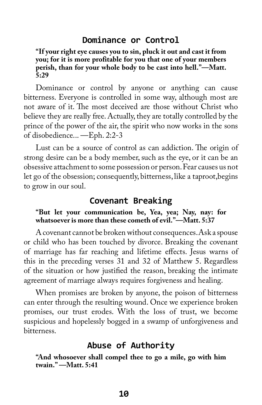### **Dominance or Control**

**"If your right eye causes you to sin, pluck it out and cast it from you; for it is more profitable for you that one of your members perish, than for your whole body to be cast into hell."—Matt. 5:29**

Dominance or control by anyone or anything can cause bitterness. Everyone is controlled in some way, although most are not aware of it. The most deceived are those without Christ who believe they are really free. Actually, they are totally controlled by the prince of the power of the air, the spirit who now works in the sons of disobedience... —Eph. 2:2-3

Lust can be a source of control as can addiction. The origin of strong desire can be a body member, such as the eye, or it can be an obsessive attachment to some possession or person. Fear causes us not let go of the obsession; consequently, bitterness, like a taproot,begins to grow in our soul.

### **Covenant Breaking**

#### **"But let your communication be, Yea, yea; Nay, nay: for whatsoever is more than these cometh of evil."—Matt. 5:37**

A covenant cannot be broken without consequences. Ask a spouse or child who has been touched by divorce. Breaking the covenant of marriage has far reaching and lifetime effects. Jesus warns of this in the preceding verses 31 and 32 of Matthew 5. Regardless of the situation or how justified the reason, breaking the intimate agreement of marriage always requires forgiveness and healing.

When promises are broken by anyone, the poison of bitterness can enter through the resulting wound. Once we experience broken promises, our trust erodes. With the loss of trust, we become suspicious and hopelessly bogged in a swamp of unforgiveness and bitterness.

### **Abuse of Authority**

**"And whosoever shall compel thee to go a mile, go with him twain." —Matt. 5:41**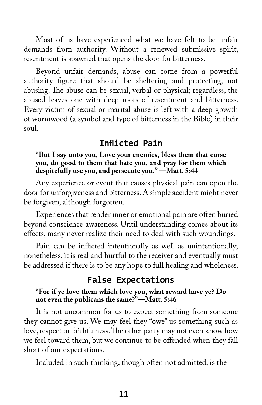Most of us have experienced what we have felt to be unfair demands from authority. Without a renewed submissive spirit, resentment is spawned that opens the door for bitterness.

Beyond unfair demands, abuse can come from a powerful authority figure that should be sheltering and protecting, not abusing. The abuse can be sexual, verbal or physical; regardless, the abused leaves one with deep roots of resentment and bitterness. Every victim of sexual or marital abuse is left with a deep growth of wormwood (a symbol and type of bitterness in the Bible) in their soul.

## **Inflicted Pain**

#### **"But I say unto you, Love your enemies, bless them that curse you, do good to them that hate you, and pray for them which despitefully use you, and persecute you." —Matt. 5:44**

Any experience or event that causes physical pain can open the door for unforgiveness and bitterness. A simple accident might never be forgiven, although forgotten.

Experiences that render inner or emotional pain are often buried beyond conscience awareness. Until understanding comes about its effects, many never realize their need to deal with such woundings.

Pain can be inflicted intentionally as well as unintentionally; nonetheless, it is real and hurtful to the receiver and eventually must be addressed if there is to be any hope to full healing and wholeness.

## **False Expectations**

#### **"For if ye love them which love you, what reward have ye? Do not even the publicans the same?"—Matt. 5:46**

It is not uncommon for us to expect something from someone they cannot give us. We may feel they "owe" us something such as love, respect or faithfulness. The other party may not even know how we feel toward them, but we continue to be offended when they fall short of our expectations.

Included in such thinking, though often not admitted, is the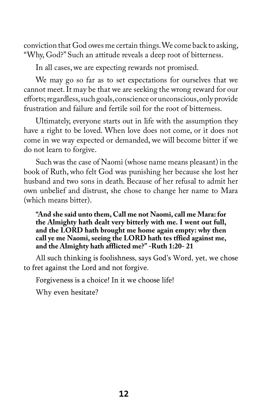conviction that God owes me certain things. We come back to asking, "Why, God?" Such an attitude reveals a deep root of bitterness.

In all cases, we are expecting rewards not promised.

We may go so far as to set expectations for ourselves that we cannot meet. It may be that we are seeking the wrong reward for our efforts; regardless, such goals, conscience or unconscious, only provide frustration and failure and fertile soil for the root of bitterness.

Ultimately, everyone starts out in life with the assumption they have a right to be loved. When love does not come, or it does not come in we way expected or demanded, we will become bitter if we do not learn to forgive.

Such was the case of Naomi (whose name means pleasant) in the book of Ruth, who felt God was punishing her because she lost her husband and two sons in death. Because of her refusal to admit her own unbelief and distrust, she chose to change her name to Mara (which means bitter).

**"And she said unto them, Call me not Naomi, call me Mara: for the Almighty hath dealt very bitterly with me. I went out full, and the LORD hath brought me home again empty: why then call ye me Naomi, seeing the LORD hath tes tffied against me, and the Almighty hath afflicted me?" -Ruth 1:20- 21**

All such thinking is foolishness, says God's Word, yet, we chose to fret against the Lord and not forgive.

Forgiveness is a choice! In it we choose life!

Why even hesitate?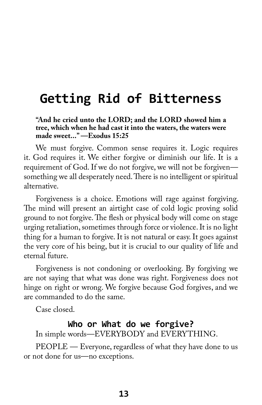## **Getting Rid of Bitterness**

**"And he cried unto the LORD; and the LORD showed him a tree, which when he had cast it into the waters, the waters were made sweet..." —Exodus 15:25**

We must forgive. Common sense requires it. Logic requires it. God requires it. We either forgive or diminish our life. It is a requirement of God. If we do not forgive, we will not be forgiven something we all desperately need. There is no intelligent or spiritual alternative.

Forgiveness is a choice. Emotions will rage against forgiving. The mind will present an airtight case of cold logic proving solid ground to not forgive. The flesh or physical body will come on stage urging retaliation, sometimes through force or violence. It is no light thing for a human to forgive. It is not natural or easy. It goes against the very core of his being, but it is crucial to our quality of life and eternal future.

Forgiveness is not condoning or overlooking. By forgiving we are not saying that what was done was right. Forgiveness does not hinge on right or wrong. We forgive because God forgives, and we are commanded to do the same.

Case closed.

#### **Who or What do we forgive?**

In simple words—EVERYBODY and EVERYTHING.

PEOPLE — Everyone, regardless of what they have done to us or not done for us—no exceptions.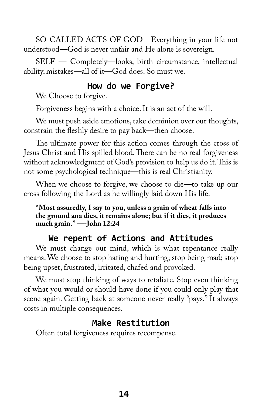SO-CALLED ACTS OF GOD - Everything in your life not understood—God is never unfair and He alone is sovereign.

SELF — Completely—looks, birth circumstance, intellectual ability, mistakes—all of it—God does. So must we.

## **How do we Forgive?**

We Choose to forgive.

Forgiveness begins with a choice. It is an act of the will.

We must push aside emotions, take dominion over our thoughts, constrain the fleshly desire to pay back—then choose.

The ultimate power for this action comes through the cross of Jesus Christ and His spilled blood. There can be no real forgiveness without acknowledgment of God's provision to help us do it. This is not some psychological technique—this is real Christianity.

When we choose to forgive, we choose to die—to take up our cross following the Lord as he willingly laid down His life.

**"Most assuredly, I say to you, unless a grain of wheat falls into the ground ana dies, it remains alone; but if it dies, it produces much grain." —-John 12:24**

## **We repent of Actions and Attitudes**

We must change our mind, which is what repentance really means. We choose to stop hating and hurting; stop being mad; stop being upset, frustrated, irritated, chafed and provoked.

We must stop thinking of ways to retaliate. Stop even thinking of what you would or should have done if you could only play that scene again. Getting back at someone never really "pays." It always costs in multiple consequences.

## **Make Restitution**

Often total forgiveness requires recompense.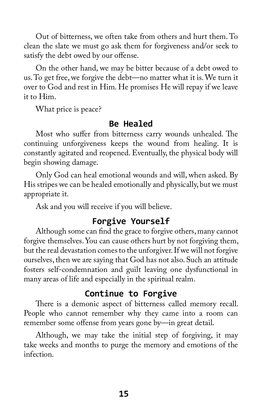Out of bitterness, we often take from others and hurt them. To clean the slate we must go ask them for forgiveness and/or seek to satisfy the debt owed by our offense.

On the other hand, we may be bitter because of a debt owed to us. To get free, we forgive the debt—no matter what it is. We turn it over to God and rest in Him. He promises He will repay if we leave it to Him.

What price is peace?

## **Be Healed**

Most who suffer from bitterness carry wounds unhealed. The continuing unforgiveness keeps the wound from healing. It is constantly agitated and reopened. Eventually, the physical body will begin showing damage.

Only God can heal emotional wounds and will, when asked. By His stripes we can be healed emotionally and physically, but we must appropriate it.

Ask and you will receive if you will believe.

## **Forgive Yourself**

Although some can find the grace to forgive others, many cannot forgive themselves. You can cause others hurt by not forgiving them, but the real devastation comes to the unforgiver. If we will not forgive ourselves, then we are saying that God has not also. Such an attitude fosters self-condemnation and guilt leaving one dysfunctional in many areas of life and especially in the spiritual realm.

## **Continue to Forgive**

There is a demonic aspect of bitterness called memory recall. People who cannot remember why they came into a room can remember some offense from years gone by—in great detail.

Although, we may take the initial step of forgiving, it may take weeks and months to purge the memory and emotions of the infection.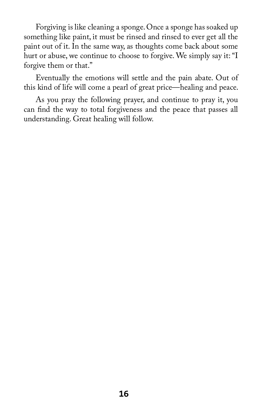Forgiving is like cleaning a sponge. Once a sponge has soaked up something like paint, it must be rinsed and rinsed to ever get all the paint out of it. In the same way, as thoughts come back about some hurt or abuse, we continue to choose to forgive. We simply say it: "I forgive them or that."

Eventually the emotions will settle and the pain abate. Out of this kind of life will come a pearl of great price—healing and peace.

As you pray the following prayer, and continue to pray it, you can find the way to total forgiveness and the peace that passes all understanding. Great healing will follow.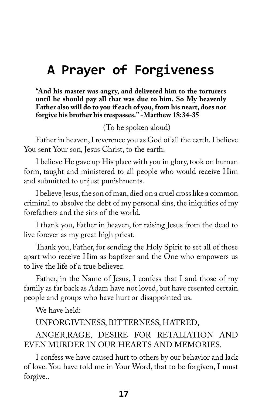## **A Prayer of Forgiveness**

**"And his master was angry, and delivered him to the torturers until he should pay all that was due to him. So My heavenly Father also will do to you if each of you, from his neart, does not forgive his brother his trespasses." -Matthew 18:34-35**

(To be spoken aloud)

Father in heaven, I reverence you as God of all the earth. I believe You sent Your son, Jesus Christ, to the earth.

I believe He gave up His place with you in glory, took on human form, taught and ministered to all people who would receive Him and submitted to unjust punishments.

I believe Jesus, the son of man, died on a cruel cross like a common criminal to absolve the debt of my personal sins, the iniquities of my forefathers and the sins of the world.

I thank you, Father in heaven, for raising Jesus from the dead to live forever as my great high priest.

Thank you, Father, for sending the Holy Spirit to set all of those apart who receive Him as baptizer and the One who empowers us to live the life of a true believer.

Father, in the Name of Jesus, I confess that I and those of my family as far back as Adam have not loved, but have resented certain people and groups who have hurt or disappointed us.

We have held:

UNFORGIVENESS, BITTERNESS, HATRED,

ANGER,RAGE, DESIRE FOR RETALIATION AND EVEN MURDER IN OUR HEARTS AND MEMORIES.

I confess we have caused hurt to others by our behavior and lack of love. You have told me in Your Word, that to be forgiven, I must forgive..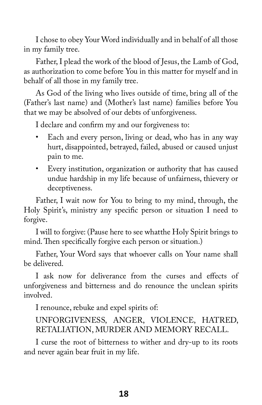I chose to obey Your Word individually and in behalf of all those in my family tree.

Father, I plead the work of the blood of Jesus, the Lamb of God, as authorization to come before You in this matter for myself and in behalf of all those in my family tree.

As God of the living who lives outside of time, bring all of the (Father's last name) and (Mother's last name) families before You that we may be absolved of our debts of unforgiveness.

I declare and confirm my and our forgiveness to:

- Each and every person, living or dead, who has in any way hurt, disappointed, betrayed, failed, abused or caused unjust pain to me.
- Every institution, organization or authority that has caused undue hardship in my life because of unfairness, thievery or deceptiveness.

Father, I wait now for You to bring to my mind, through, the Holy Spirit's, ministry any specific person or situation I need to forgive.

I will to forgive: (Pause here to see whatthe Holy Spirit brings to mind. Then specifically forgive each person or situation.)

Father, Your Word says that whoever calls on Your name shall be delivered.

I ask now for deliverance from the curses and effects of unforgiveness and bitterness and do renounce the unclean spirits involved.

I renounce, rebuke and expel spirits of:

## UNFORGIVENESS, ANGER, VIOLENCE, HATRED, RETALIATION, MURDER AND MEMORY RECALL.

I curse the root of bitterness to wither and dry-up to its roots and never again bear fruit in my life.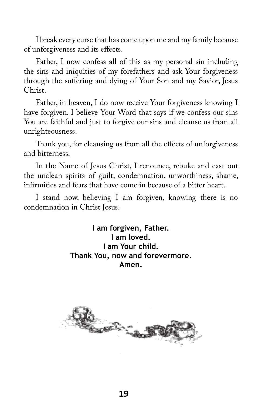I break every curse that has come upon me and my family because of unforgiveness and its effects.

Father, I now confess all of this as my personal sin including the sins and iniquities of my forefathers and ask Your forgiveness through the suffering and dying of Your Son and my Savior, Jesus Christ.

Father, in heaven, I do now receive Your forgiveness knowing I have forgiven. I believe Your Word that says if we confess our sins You are faithful and just to forgive our sins and cleanse us from all unrighteousness.

Thank you, for cleansing us from all the effects of unforgiveness and bitterness.

In the Name of Jesus Christ, I renounce, rebuke and cast-out the unclean spirits of guilt, condemnation, unworthiness, shame, infirmities and fears that have come in because of a bitter heart.

I stand now, believing I am forgiven, knowing there is no condemnation in Christ Jesus.

> **I am forgiven, Father. I am loved. I am Your child. Thank You, now and forevermore. Amen.**